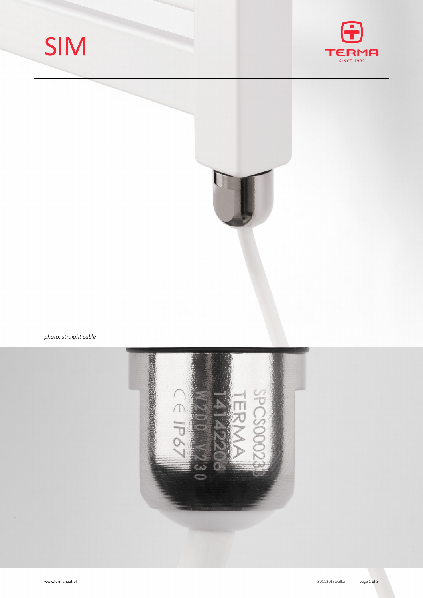





*photo: straight cable*

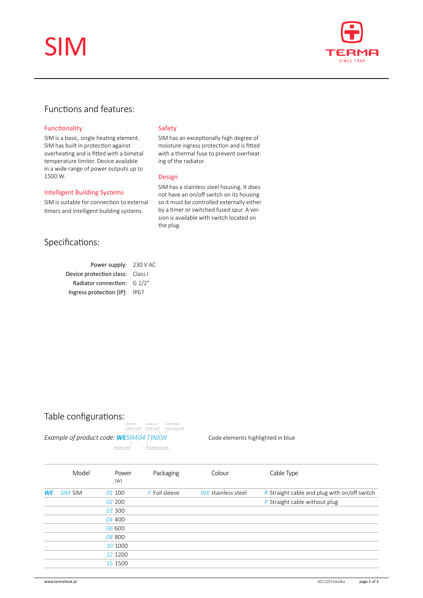# SIM



## Functions and features:

## Functionality

SIM is a basic, single heating element. SIM has built in protection against overheating and is fitted with a bimetal temperature limiter. Device available in a wide range of power outputs up to 1500 W.

#### Intelligent Building Systems

SIM is suitable for connection to external timers and intelligent building systems.

## Specifications:

| Power supply: 230 V AC           |
|----------------------------------|
| Device protection class: Class I |
| Radiator connection: $G_1/2$ "   |
| IP67                             |
|                                  |

### Safety

SIM has an exceptionally high degree of moisture ingress protection and is fitted with a thermal fuse to prevent overheating of the radiator.

### Design

SIM has a stainless steel housing. It does not have an on/off switch on its housing so it must be controlled externally either by a timer or switched fused spur. A version is available with switch located on the plug.

## Table configurations:



Code elements highlighted in blue

|           | Model   | Power<br>[W] | Packaging     | Colour              | Cable Type                                   |
|-----------|---------|--------------|---------------|---------------------|----------------------------------------------|
| <b>WE</b> | SIM SIM | 01 100       | F Foil sleeve | INX stainless steel | R Straight cable and plug with on/off switch |
|           |         | 02 200       |               |                     | $P$ Straight cable without plug              |
|           |         | 03 300       |               |                     |                                              |
|           |         | 04 400       |               |                     |                                              |
|           |         | 06 600       |               |                     |                                              |
|           |         | 08 800       |               |                     |                                              |
|           |         | 10 1000      |               |                     |                                              |
|           |         | 12 1200      |               |                     |                                              |
|           |         | 15 1500      |               |                     |                                              |